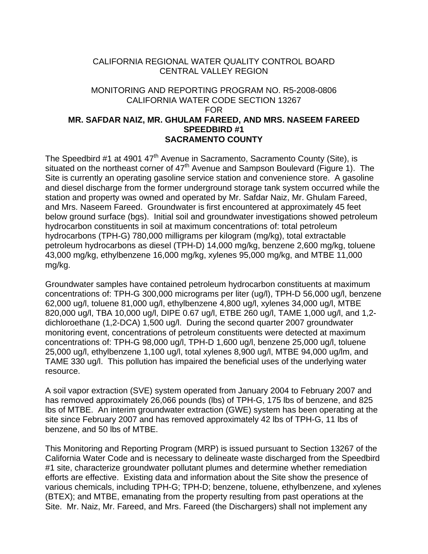## CALIFORNIA REGIONAL WATER QUALITY CONTROL BOARD CENTRAL VALLEY REGION

## MONITORING AND REPORTING PROGRAM NO. R5-2008-0806 CALIFORNIA WATER CODE SECTION 13267 FOR **MR. SAFDAR NAIZ, MR. GHULAM FAREED, AND MRS. NASEEM FAREED SPEEDBIRD #1 SACRAMENTO COUNTY**

The Speedbird #1 at 4901 47<sup>th</sup> Avenue in Sacramento, Sacramento County (Site), is situated on the northeast corner of  $47<sup>th</sup>$  Avenue and Sampson Boulevard (Figure 1). The Site is currently an operating gasoline service station and convenience store. A gasoline and diesel discharge from the former underground storage tank system occurred while the station and property was owned and operated by Mr. Safdar Naiz, Mr. Ghulam Fareed, and Mrs. Naseem Fareed. Groundwater is first encountered at approximately 45 feet below ground surface (bgs). Initial soil and groundwater investigations showed petroleum hydrocarbon constituents in soil at maximum concentrations of: total petroleum hydrocarbons (TPH-G) 780,000 milligrams per kilogram (mg/kg), total extractable petroleum hydrocarbons as diesel (TPH-D) 14,000 mg/kg, benzene 2,600 mg/kg, toluene 43,000 mg/kg, ethylbenzene 16,000 mg/kg, xylenes 95,000 mg/kg, and MTBE 11,000 mg/kg.

Groundwater samples have contained petroleum hydrocarbon constituents at maximum concentrations of: TPH-G 300,000 micrograms per liter (ug/l), TPH-D 56,000 ug/l, benzene 62,000 ug/l, toluene 81,000 ug/l, ethylbenzene 4,800 ug/l, xylenes 34,000 ug/l, MTBE 820,000 ug/l, TBA 10,000 ug/l, DIPE 0.67 ug/l, ETBE 260 ug/l, TAME 1,000 ug/l, and 1,2 dichloroethane (1,2-DCA) 1,500 ug/l. During the second quarter 2007 groundwater monitoring event, concentrations of petroleum constituents were detected at maximum concentrations of: TPH-G 98,000 ug/l, TPH-D 1,600 ug/l, benzene 25,000 ug/l, toluene 25,000 ug/l, ethylbenzene 1,100 ug/l, total xylenes 8,900 ug/l, MTBE 94,000 ug/lm, and TAME 330 ug/l. This pollution has impaired the beneficial uses of the underlying water resource.

A soil vapor extraction (SVE) system operated from January 2004 to February 2007 and has removed approximately 26,066 pounds (lbs) of TPH-G, 175 lbs of benzene, and 825 lbs of MTBE. An interim groundwater extraction (GWE) system has been operating at the site since February 2007 and has removed approximately 42 lbs of TPH-G, 11 lbs of benzene, and 50 lbs of MTBE.

This Monitoring and Reporting Program (MRP) is issued pursuant to Section 13267 of the California Water Code and is necessary to delineate waste discharged from the Speedbird #1 site, characterize groundwater pollutant plumes and determine whether remediation efforts are effective. Existing data and information about the Site show the presence of various chemicals, including TPH-G; TPH-D; benzene, toluene, ethylbenzene, and xylenes (BTEX); and MTBE, emanating from the property resulting from past operations at the Site. Mr. Naiz, Mr. Fareed, and Mrs. Fareed (the Dischargers) shall not implement any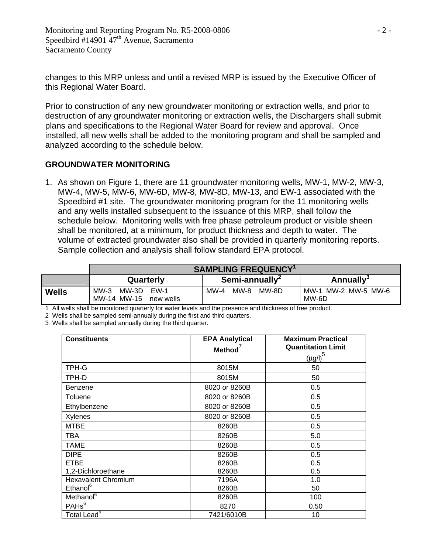changes to this MRP unless and until a revised MRP is issued by the Executive Officer of this Regional Water Board.

Prior to construction of any new groundwater monitoring or extraction wells, and prior to destruction of any groundwater monitoring or extraction wells, the Dischargers shall submit plans and specifications to the Regional Water Board for review and approval. Once installed, all new wells shall be added to the monitoring program and shall be sampled and analyzed according to the schedule below.

## **GROUNDWATER MONITORING**

1. As shown on Figure 1, there are 11 groundwater monitoring wells, MW-1, MW-2, MW-3, MW-4, MW-5, MW-6, MW-6D, MW-8, MW-8D, MW-13, and EW-1 associated with the Speedbird #1 site. The groundwater monitoring program for the 11 monitoring wells and any wells installed subsequent to the issuance of this MRP, shall follow the schedule below. Monitoring wells with free phase petroleum product or visible sheen shall be monitored, at a minimum, for product thickness and depth to water. The volume of extracted groundwater also shall be provided in quarterly monitoring reports. Sample collection and analysis shall follow standard EPA protocol.

|              | <b>SAMPLING FREQUENCY</b> <sup>1</sup>              |                            |                              |
|--------------|-----------------------------------------------------|----------------------------|------------------------------|
|              | Quarterly                                           | Semi-annually <sup>2</sup> | <b>Annually</b> <sup>3</sup> |
| <b>Wells</b> | MW-3<br>MW-3D<br>$FW-1$<br>MW-14 MW-15<br>new wells | MW-4<br>MW-8<br>MW-8D      | MW-1 MW-2 MW-5 MW-6<br>MW-6D |

1 All wells shall be monitored quarterly for water levels and the presence and thickness of free product.

2 Wells shall be sampled semi-annually during the first and third quarters.

3 Wells shall be sampled annually during the third quarter.

| <b>Constituents</b>        | <b>EPA Analytical</b><br>Method <sup>'</sup> | <b>Maximum Practical</b><br><b>Quantitation Limit</b> |
|----------------------------|----------------------------------------------|-------------------------------------------------------|
|                            |                                              | $(\mu g/l)^5$                                         |
| TPH-G                      | 8015M                                        | 50                                                    |
| TPH-D                      | 8015M                                        | 50                                                    |
| Benzene                    | 8020 or 8260B                                | 0.5                                                   |
| <b>Toluene</b>             | 8020 or 8260B                                | 0.5                                                   |
| Ethylbenzene               | 8020 or 8260B                                | 0.5                                                   |
| Xylenes                    | 8020 or 8260B                                | 0.5                                                   |
| <b>MTBE</b>                | 8260B                                        | 0.5                                                   |
| <b>TBA</b>                 | 8260B                                        | 5.0                                                   |
| TAME                       | 8260B                                        | 0.5                                                   |
| <b>DIPE</b>                | 8260B                                        | 0.5                                                   |
| <b>ETBE</b>                | 8260B                                        | 0.5                                                   |
| 1,2-Dichloroethane         | 8260B                                        | 0.5                                                   |
| <b>Hexavalent Chromium</b> | 7196A                                        | 1.0                                                   |
| Ethanol <sup>6</sup>       | 8260B                                        | 50                                                    |
| Methanol <sup>6</sup>      | 8260B                                        | 100                                                   |
| PAHS <sup>6</sup>          | 8270                                         | 0.50                                                  |
| Total Lead <sup>6</sup>    | 7421/6010B                                   | 10                                                    |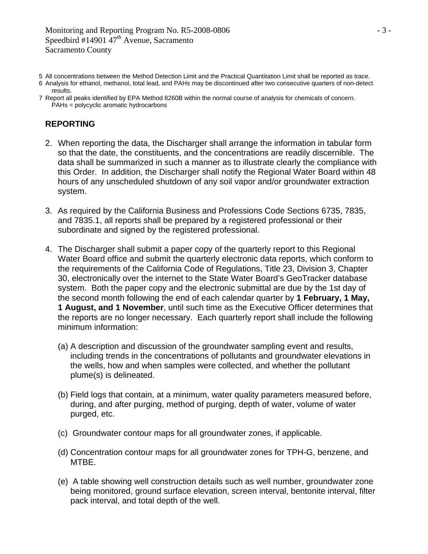- 5 All concentrations between the Method Detection Limit and the Practical Quantitation Limit shall be reported as trace.
- 6 Analysis for ethanol, methanol, total lead, and PAHs may be discontinued after two consecutive quarters of non-detect results.
- 7 Report all peaks identified by EPA Method 8260B within the normal course of analysis for chemicals of concern. PAHs = polycyclic aromatic hydrocarbons

## **REPORTING**

- 2. When reporting the data, the Discharger shall arrange the information in tabular form so that the date, the constituents, and the concentrations are readily discernible. The data shall be summarized in such a manner as to illustrate clearly the compliance with this Order. In addition, the Discharger shall notify the Regional Water Board within 48 hours of any unscheduled shutdown of any soil vapor and/or groundwater extraction system.
- 3. As required by the California Business and Professions Code Sections 6735, 7835, and 7835.1, all reports shall be prepared by a registered professional or their subordinate and signed by the registered professional.
- 4. The Discharger shall submit a paper copy of the quarterly report to this Regional Water Board office and submit the quarterly electronic data reports, which conform to the requirements of the California Code of Regulations, Title 23, Division 3, Chapter 30, electronically over the internet to the State Water Board's GeoTracker database system. Both the paper copy and the electronic submittal are due by the 1st day of the second month following the end of each calendar quarter by **1 February, 1 May, 1 August, and 1 November**, until such time as the Executive Officer determines that the reports are no longer necessary. Each quarterly report shall include the following minimum information:
	- (a) A description and discussion of the groundwater sampling event and results, including trends in the concentrations of pollutants and groundwater elevations in the wells, how and when samples were collected, and whether the pollutant plume(s) is delineated.
	- (b) Field logs that contain, at a minimum, water quality parameters measured before, during, and after purging, method of purging, depth of water, volume of water purged, etc.
	- (c) Groundwater contour maps for all groundwater zones, if applicable.
	- (d) Concentration contour maps for all groundwater zones for TPH-G, benzene, and MTBE.
	- (e) A table showing well construction details such as well number, groundwater zone being monitored, ground surface elevation, screen interval, bentonite interval, filter pack interval, and total depth of the well.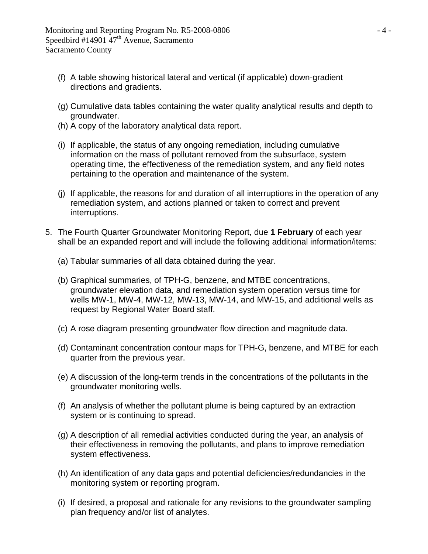- (f) A table showing historical lateral and vertical (if applicable) down-gradient directions and gradients.
- (g) Cumulative data tables containing the water quality analytical results and depth to groundwater.
- (h) A copy of the laboratory analytical data report.
- (i) If applicable, the status of any ongoing remediation, including cumulative information on the mass of pollutant removed from the subsurface, system operating time, the effectiveness of the remediation system, and any field notes pertaining to the operation and maintenance of the system.
- (j) If applicable, the reasons for and duration of all interruptions in the operation of any remediation system, and actions planned or taken to correct and prevent interruptions.
- 5. The Fourth Quarter Groundwater Monitoring Report, due **1 February** of each year shall be an expanded report and will include the following additional information/items:
	- (a) Tabular summaries of all data obtained during the year.
	- (b) Graphical summaries, of TPH-G, benzene, and MTBE concentrations, groundwater elevation data, and remediation system operation versus time for wells MW-1, MW-4, MW-12, MW-13, MW-14, and MW-15, and additional wells as request by Regional Water Board staff.
	- (c) A rose diagram presenting groundwater flow direction and magnitude data.
	- (d) Contaminant concentration contour maps for TPH-G, benzene, and MTBE for each quarter from the previous year.
	- (e) A discussion of the long-term trends in the concentrations of the pollutants in the groundwater monitoring wells.
	- (f) An analysis of whether the pollutant plume is being captured by an extraction system or is continuing to spread.
	- (g) A description of all remedial activities conducted during the year, an analysis of their effectiveness in removing the pollutants, and plans to improve remediation system effectiveness.
	- (h) An identification of any data gaps and potential deficiencies/redundancies in the monitoring system or reporting program.
	- (i) If desired, a proposal and rationale for any revisions to the groundwater sampling plan frequency and/or list of analytes.